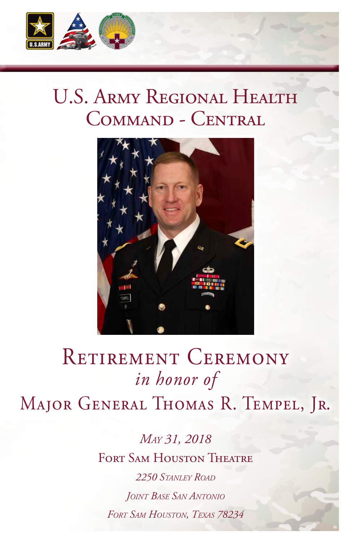

### U.S. Army Regional Health Command - Central



## RETIREMENT CEREMONY Major General Thomas R. Tempel, Jr. *in honor of*

*May 31, 2018* FORT SAM HOUSTON THEATRE *2250 Stanley Road Joint Base San Antonio Fort Sam Houston, Texas 78234*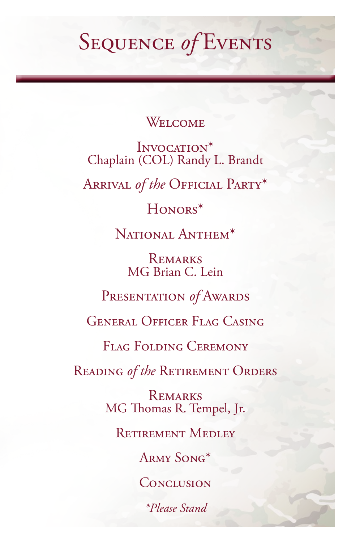## Sequence *of* Events

#### Welcome

INVOCATION<sup>\*</sup> Chaplain (COL) Randy L. Brandt

Arrival *of the* Official Party\*

#### Honors\*

NATIONAL ANTHEM<sup>\*</sup>

**REMARKS** MG Brian C. Lein

Presentation *of* Awards

General Officer Flag Casing

Flag Folding Ceremony

Reading *of the* Retirement Orders

**REMARKS** MG Thomas R. Tempel, Jr.

Retirement Medley

Army Song\*

**CONCLUSION** 

*\*Please Stand*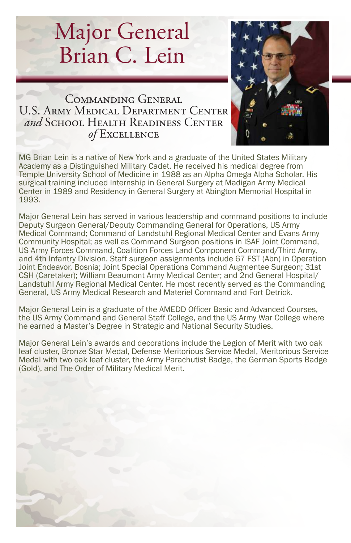# Major General Brian C. Lein



Commanding General U.S. Army Medical Department Center *and* School Health Readiness Center *of* Excellence

MG Brian Lein is a native of New York and a graduate of the United States Military Academy as a Distinguished Military Cadet. He received his medical degree from Temple University School of Medicine in 1988 as an Alpha Omega Alpha Scholar. His surgical training included Internship in General Surgery at Madigan Army Medical Center in 1989 and Residency in General Surgery at Abington Memorial Hospital in 1993.

Major General Lein has served in various leadership and command positions to include Deputy Surgeon General/Deputy Commanding General for Operations, US Army Medical Command; Command of Landstuhl Regional Medical Center and Evans Army Community Hospital; as well as Command Surgeon positions in ISAF Joint Command, US Army Forces Command, Coalition Forces Land Component Command/Third Army, and 4th Infantry Division. Staff surgeon assignments include 67 FST (Abn) in Operation Joint Endeavor, Bosnia; Joint Special Operations Command Augmentee Surgeon; 31st CSH (Caretaker); William Beaumont Army Medical Center; and 2nd General Hospital/ Landstuhl Army Regional Medical Center. He most recently served as the Commanding General, US Army Medical Research and Materiel Command and Fort Detrick.

Major General Lein is a graduate of the AMEDD Officer Basic and Advanced Courses, the US Army Command and General Staff College, and the US Army War College where he earned a Master's Degree in Strategic and National Security Studies.

Major General Lein's awards and decorations include the Legion of Merit with two oak leaf cluster, Bronze Star Medal, Defense Meritorious Service Medal, Meritorious Service Medal with two oak leaf cluster, the Army Parachutist Badge, the German Sports Badge (Gold), and The Order of Military Medical Merit.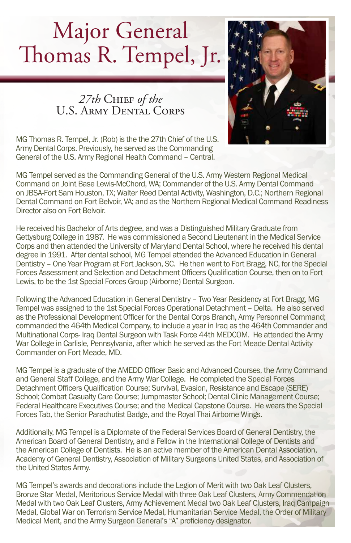# Major General Thomas R. Tempel, Jr.

*27th* Chief *of the* U.S. Army Dental Corps



MG Tempel served as the Commanding General of the U.S. Army Western Regional Medical Command on Joint Base Lewis-McChord, WA; Commander of the U.S. Army Dental Command on JBSA-Fort Sam Houston, TX; Walter Reed Dental Activity, Washington, D.C.; Northern Regional Dental Command on Fort Belvoir, VA; and as the Northern Regional Medical Command Readiness Director also on Fort Belvoir.

He received his Bachelor of Arts degree, and was a Distinguished Military Graduate from Gettysburg College in 1987. He was commissioned a Second Lieutenant in the Medical Service Corps and then attended the University of Maryland Dental School, where he received his dental degree in 1991. After dental school, MG Tempel attended the Advanced Education in General Dentistry – One Year Program at Fort Jackson, SC. He then went to Fort Bragg, NC, for the Special Forces Assessment and Selection and Detachment Officers Qualification Course, then on to Fort Lewis, to be the 1st Special Forces Group (Airborne) Dental Surgeon.

Following the Advanced Education in General Dentistry – Two Year Residency at Fort Bragg, MG Tempel was assigned to the 1st Special Forces Operational Detachment – Delta. He also served as the Professional Development Officer for the Dental Corps Branch, Army Personnel Command; commanded the 464th Medical Company, to include a year in Iraq as the 464th Commander and Multinational Corps- Iraq Dental Surgeon with Task Force 44th MEDCOM. He attended the Army War College in Carlisle, Pennsylvania, after which he served as the Fort Meade Dental Activity Commander on Fort Meade, MD.

MG Tempel is a graduate of the AMEDD Officer Basic and Advanced Courses, the Army Command and General Staff College, and the Army War College. He completed the Special Forces Detachment Officers Qualification Course; Survival, Evasion, Resistance and Escape (SERE) School; Combat Casualty Care Course; Jumpmaster School; Dental Clinic Management Course; Federal Healthcare Executives Course; and the Medical Capstone Course. He wears the Special Forces Tab, the Senior Parachutist Badge, and the Royal Thai Airborne Wings.

Additionally, MG Tempel is a Diplomate of the Federal Services Board of General Dentistry, the American Board of General Dentistry, and a Fellow in the International College of Dentists and the American College of Dentists. He is an active member of the American Dental Association, Academy of General Dentistry, Association of Military Surgeons United States, and Association of the United States Army.

MG Tempel's awards and decorations include the Legion of Merit with two Oak Leaf Clusters, Bronze Star Medal, Meritorious Service Medal with three Oak Leaf Clusters, Army Commendation Medal with two Oak Leaf Clusters, Army Achievement Medal two Oak Leaf Clusters, Iraq Campaign Medal, Global War on Terrorism Service Medal, Humanitarian Service Medal, the Order of Military Medical Merit, and the Army Surgeon General's "A" proficiency designator.